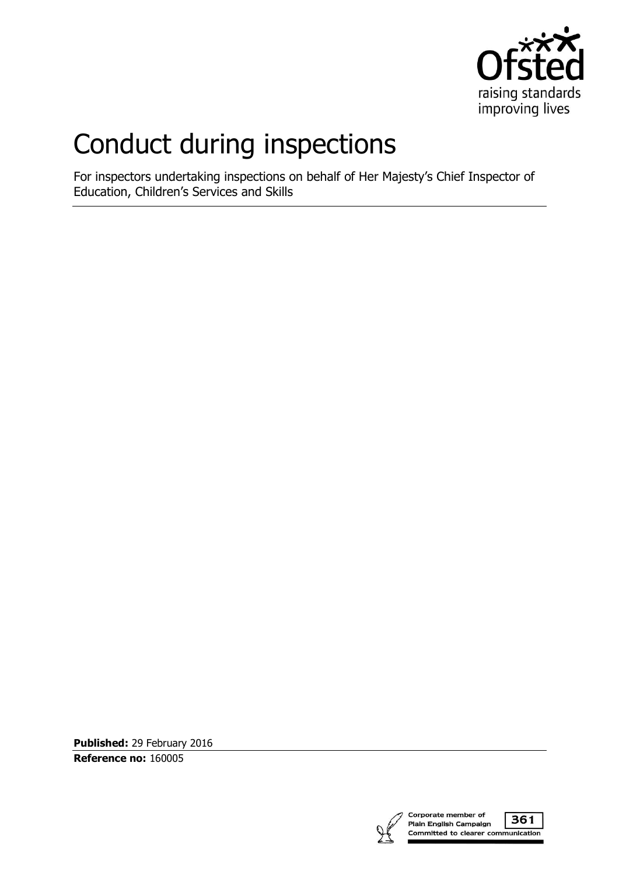

## Conduct during inspections

For inspectors undertaking inspections on behalf of Her Majesty's Chief Inspector of Education, Children's Services and Skills

**Published:** 29 February 2016 **Reference no:** 160005

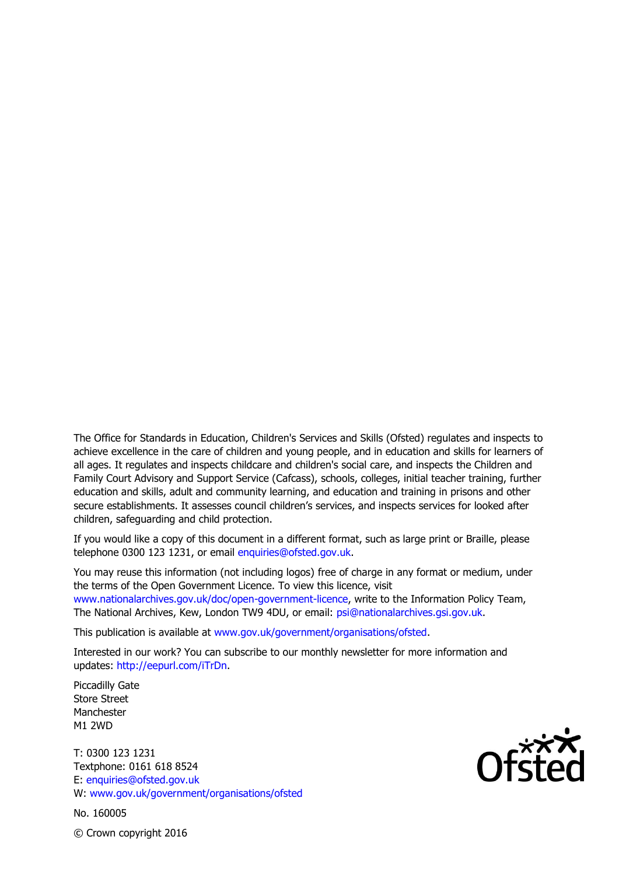The Office for Standards in Education, Children's Services and Skills (Ofsted) regulates and inspects to achieve excellence in the care of children and young people, and in education and skills for learners of all ages. It regulates and inspects childcare and children's social care, and inspects the Children and Family Court Advisory and Support Service (Cafcass), schools, colleges, initial teacher training, further education and skills, adult and community learning, and education and training in prisons and other secure establishments. It assesses council children's services, and inspects services for looked after children, safeguarding and child protection.

If you would like a copy of this document in a different format, such as large print or Braille, please telephone 0300 123 1231, or email enquiries@ofsted.gov.uk.

You may reuse this information (not including logos) free of charge in any format or medium, under the terms of the Open Government Licence. To view this licence, visit www.nationalarchives.gov.uk/doc/open-government-licence, write to the Information Policy Team, The National Archives, Kew, London TW9 4DU, or email: psi@nationalarchives.gsi.gov.uk.

This publication is available at www.gov.uk/government/organisations/ofsted.

Interested in our work? You can subscribe to our monthly newsletter for more information and updates: http://eepurl.com/iTrDn.

Piccadilly Gate Store Street Manchester M1 2WD

T: 0300 123 1231 Textphone: 0161 618 8524 E: enquiries@ofsted.gov.uk W: www.gov.uk/government/organisations/ofsted

No. 160005

 $\mathsf{Of}^{\mathsf{xxx}}_{\mathsf{C}}$ 

© Crown copyright 2016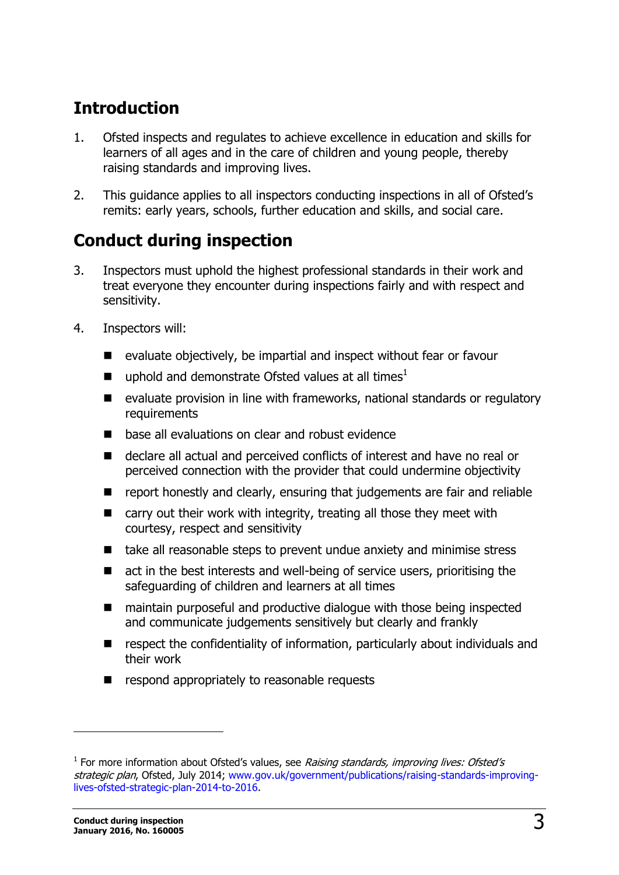## **Introduction**

- 1. Ofsted inspects and regulates to achieve excellence in education and skills for learners of all ages and in the care of children and young people, thereby raising standards and improving lives.
- 2. This guidance applies to all inspectors conducting inspections in all of Ofsted's remits: early years, schools, further education and skills, and social care.

## **Conduct during inspection**

- 3. Inspectors must uphold the highest professional standards in their work and treat everyone they encounter during inspections fairly and with respect and sensitivity.
- 4. Inspectors will:
	- evaluate objectively, be impartial and inspect without fear or favour
	- uphold and demonstrate Ofsted values at all times<sup>1</sup>
	- evaluate provision in line with frameworks, national standards or regulatory requirements
	- base all evaluations on clear and robust evidence
	- declare all actual and perceived conflicts of interest and have no real or perceived connection with the provider that could undermine objectivity
	- report honestly and clearly, ensuring that judgements are fair and reliable
	- $\blacksquare$  carry out their work with integrity, treating all those they meet with courtesy, respect and sensitivity
	- take all reasonable steps to prevent undue anxiety and minimise stress
	- act in the best interests and well-being of service users, prioritising the safeguarding of children and learners at all times
	- maintain purposeful and productive dialogue with those being inspected and communicate judgements sensitively but clearly and frankly
	- respect the confidentiality of information, particularly about individuals and their work
	- **E** respond appropriately to reasonable requests

j

<sup>&</sup>lt;sup>1</sup> For more information about Ofsted's values, see Raising standards, improving lives: Ofsted's strategic plan, Ofsted, July 2014; [www.gov.uk/government/publications/raising-standards-improving](http://www.gov.uk/government/publications/raising-standards-improving-lives-ofsted-strategic-plan-2014-to-2016)[lives-ofsted-strategic-plan-2014-to-2016.](http://www.gov.uk/government/publications/raising-standards-improving-lives-ofsted-strategic-plan-2014-to-2016)